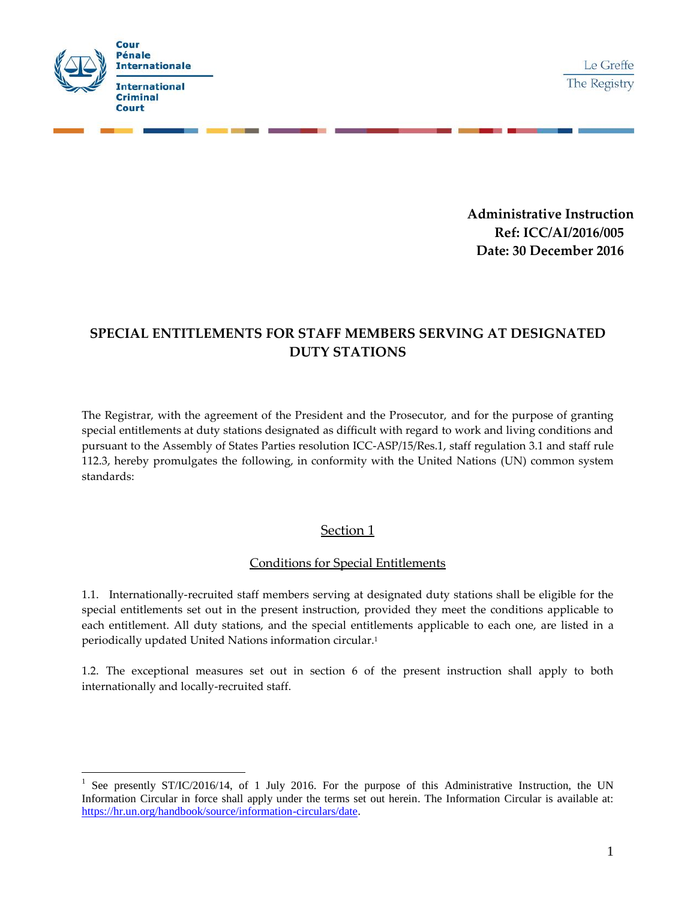

 $\overline{a}$ 

**Administrative Instruction Ref: ICC/AI/2016/005 Date: 30 December 2016**

# **SPECIAL ENTITLEMENTS FOR STAFF MEMBERS SERVING AT DESIGNATED DUTY STATIONS**

The Registrar, with the agreement of the President and the Prosecutor, and for the purpose of granting special entitlements at duty stations designated as difficult with regard to work and living conditions and pursuant to the Assembly of States Parties resolution ICC-ASP/15/Res.1, staff regulation 3.1 and staff rule 112.3, hereby promulgates the following, in conformity with the United Nations (UN) common system standards:

# Section 1

## Conditions for Special Entitlements

1.1. Internationally-recruited staff members serving at designated duty stations shall be eligible for the special entitlements set out in the present instruction, provided they meet the conditions applicable to each entitlement. All duty stations, and the special entitlements applicable to each one, are listed in a periodically updated United Nations information circular.<sup>1</sup>

1.2. The exceptional measures set out in section 6 of the present instruction shall apply to both internationally and locally-recruited staff.

<sup>1</sup> See presently ST/IC/2016/14, of 1 July 2016. For the purpose of this Administrative Instruction, the UN Information Circular in force shall apply under the terms set out herein. The Information Circular is available at: [https://hr.un.org/handbook/source/information-circulars/date.](https://hr.un.org/handbook/source/information-circulars/date)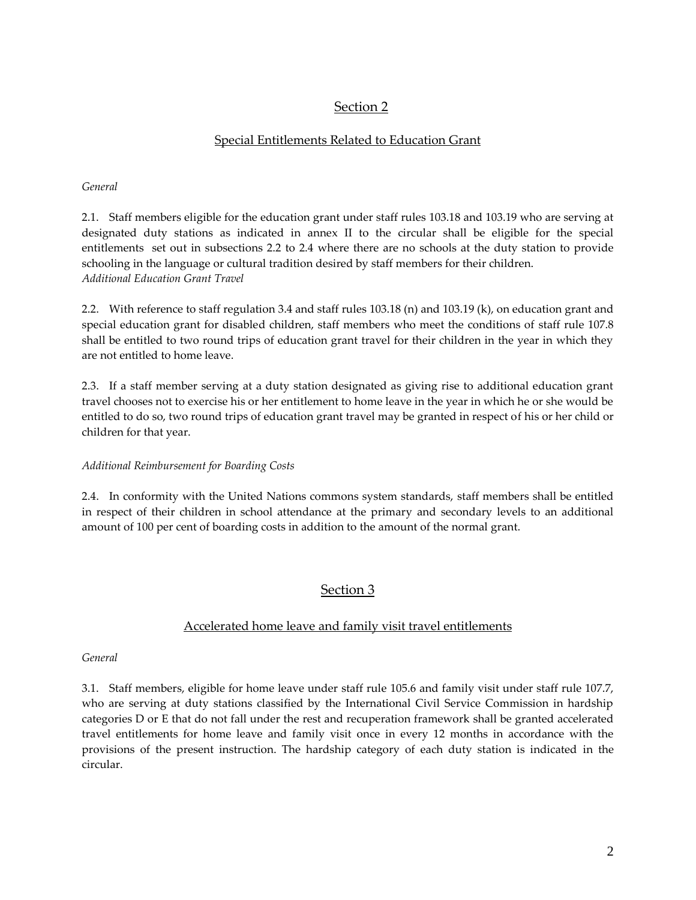# Section 2

## Special Entitlements Related to Education Grant

#### *General*

2.1. Staff members eligible for the education grant under staff rules [103.18](../../AppData/Local/Microsoft/Pacis/AppData/Local/Microsoft/Windows/AppData/Local/Microsoft/Windows/Temporary%20Internet%20Files/costamatos/AppData/Local/Microsoft/Windows/Temporary%20Internet%20Files/Local%20Settings/laucci/Local%20Settings/04%20STAFF%20RULES--100%20SERIES/sr%20103-20%20%20%20%20%20%20Education%20grant.doc) and 103.19 who are serving at designated duty stations as indicated in annex II to the circular shall be eligible for the special entitlements set out in subsections 2.2 to 2.4 where there are no schools at the duty station to provide schooling in the language or cultural tradition desired by staff members for their children. *Additional Education Grant Travel*

2.2. With reference to staff regulatio[n 3.4](../../AppData/Local/Microsoft/Pacis/AppData/Local/Microsoft/Windows/AppData/Local/Microsoft/Windows/Temporary%20Internet%20Files/costamatos/AppData/Local/Microsoft/Windows/Temporary%20Internet%20Files/Local%20Settings/laucci/Local%20Settings/03%20STAFF%20REGULATIONS/SREG%203-2%20%20%20%20%20%20%5bEDUCATION%20GRANT%5d.DOC) and staff rules [103.18](../../AppData/Local/Microsoft/Pacis/AppData/Local/Microsoft/Windows/AppData/Local/Microsoft/Windows/Temporary%20Internet%20Files/costamatos/AppData/Local/Microsoft/Windows/Temporary%20Internet%20Files/Local%20Settings/laucci/Local%20Settings/04%20STAFF%20RULES--100%20SERIES/sr%20103-20%20%20%20%20%20%20Education%20grant.doc) (n) an[d 103.19](../../AppData/Local/Microsoft/Pacis/AppData/Local/Microsoft/Windows/AppData/Local/Microsoft/Windows/Temporary%20Internet%20Files/costamatos/AppData/Local/Microsoft/Windows/Temporary%20Internet%20Files/Local%20Settings/laucci/Local%20Settings/05%20STAFF%20RULES--200%20SERIES/sr%20203-%208%20%20%20%20%20%20Education%20grant.doc) (k), on education grant and special education grant for disabled children, staff members who meet the conditions of staff rule 107.8 shall be entitled to two round trips of education grant travel for their children in the year in which they are not entitled to home leave.

2.3. If a staff member serving at a duty station designated as giving rise to additional education grant travel chooses not to exercise his or her entitlement to home leave in the year in which he or she would be entitled to do so, two round trips of education grant travel may be granted in respect of his or her child or children for that year.

### *Additional Reimbursement for Boarding Costs*

2.4. In conformity with the United Nations commons system standards, staff members shall be entitled in respect of their children in school attendance at the primary and secondary levels to an additional amount of 100 per cent of boarding costs in addition to the amount of the normal grant.

# Section 3

### Accelerated home leave and family visit travel entitlements

### *General*

3.1. Staff members, eligible for home leave under staff rule [105.6](../../AppData/Local/Microsoft/Pacis/AppData/Local/Microsoft/Windows/AppData/Local/Microsoft/Windows/Temporary%20Internet%20Files/costamatos/AppData/Local/Microsoft/Windows/Temporary%20Internet%20Files/Local%20Settings/laucci/Local%20Settings/04%20STAFF%20RULES--100%20SERIES/sr%20105-%203%20%20%20%20%20%20Home%20leave.doc) and family visit under staff rule 107.7, who are serving at duty stations classified by the International Civil Service Commission in hardship categories D or E that do not fall under the rest and recuperation framework shall be granted accelerated travel entitlements for home leave and family visit once in every 12 months in accordance with the provisions of the present instruction. The hardship category of each duty station is indicated in the circular.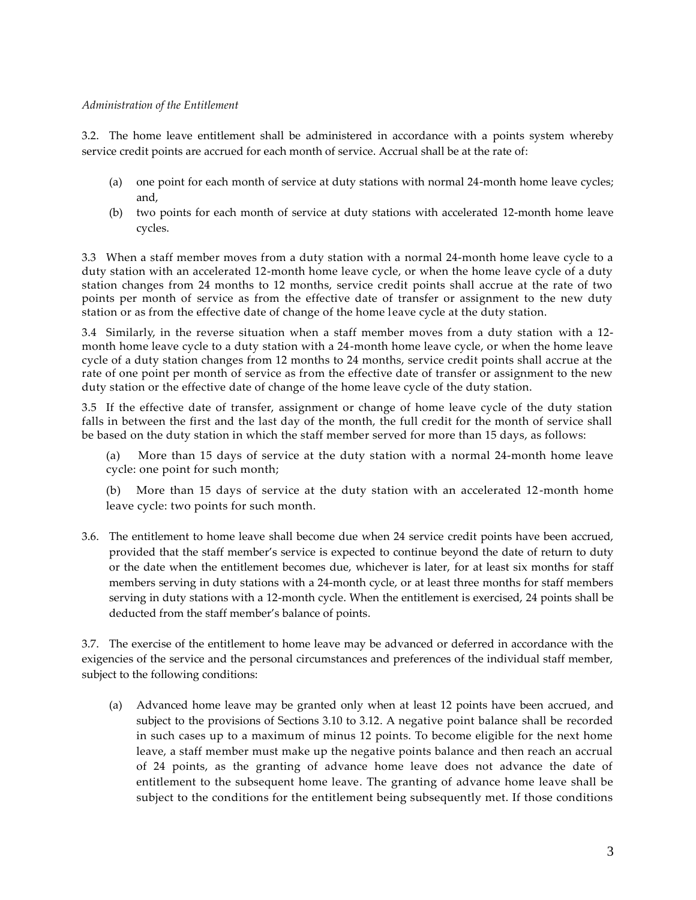#### *Administration of the Entitlement*

3.2. The home leave entitlement shall be administered in accordance with a points system whereby service credit points are accrued for each month of service. Accrual shall be at the rate of:

- (a) one point for each month of service at duty stations with normal 24-month home leave cycles; and,
- (b) two points for each month of service at duty stations with accelerated 12-month home leave cycles.

3.3 When a staff member moves from a duty station with a normal 24-month home leave cycle to a duty station with an accelerated 12-month home leave cycle, or when the home leave cycle of a duty station changes from 24 months to 12 months, service credit points shall accrue at the rate of two points per month of service as from the effective date of transfer or assignment to the new duty station or as from the effective date of change of the home leave cycle at the duty station.

3.4 Similarly, in the reverse situation when a staff member moves from a duty station with a 12 month home leave cycle to a duty station with a 24-month home leave cycle, or when the home leave cycle of a duty station changes from 12 months to 24 months, service credit points shall accrue at the rate of one point per month of service as from the effective date of transfer or assignment to the new duty station or the effective date of change of the home leave cycle of the duty station.

3.5 If the effective date of transfer, assignment or change of home leave cycle of the duty station falls in between the first and the last day of the month, the full credit for the month of service shall be based on the duty station in which the staff member served for more than 15 days, as follows:

(a) More than 15 days of service at the duty station with a normal 24-month home leave cycle: one point for such month;

(b) More than 15 days of service at the duty station with an accelerated 12-month home leave cycle: two points for such month.

3.6. The entitlement to home leave shall become due when 24 service credit points have been accrued, provided that the staff member's service is expected to continue beyond the date of return to duty or the date when the entitlement becomes due, whichever is later, for at least six months for staff members serving in duty stations with a 24-month cycle, or at least three months for staff members serving in duty stations with a 12-month cycle. When the entitlement is exercised, 24 points shall be deducted from the staff member's balance of points.

3.7. The exercise of the entitlement to home leave may be advanced or deferred in accordance with the exigencies of the service and the personal circumstances and preferences of the individual staff member, subject to the following conditions:

(a) Advanced home leave may be granted only when at least 12 points have been accrued, and subject to the provisions of Sections 3.10 to 3.12. A negative point balance shall be recorded in such cases up to a maximum of minus 12 points. To become eligible for the next home leave, a staff member must make up the negative points balance and then reach an accrual of 24 points, as the granting of advance home leave does not advance the date of entitlement to the subsequent home leave. The granting of advance home leave shall be subject to the conditions for the entitlement being subsequently met. If those conditions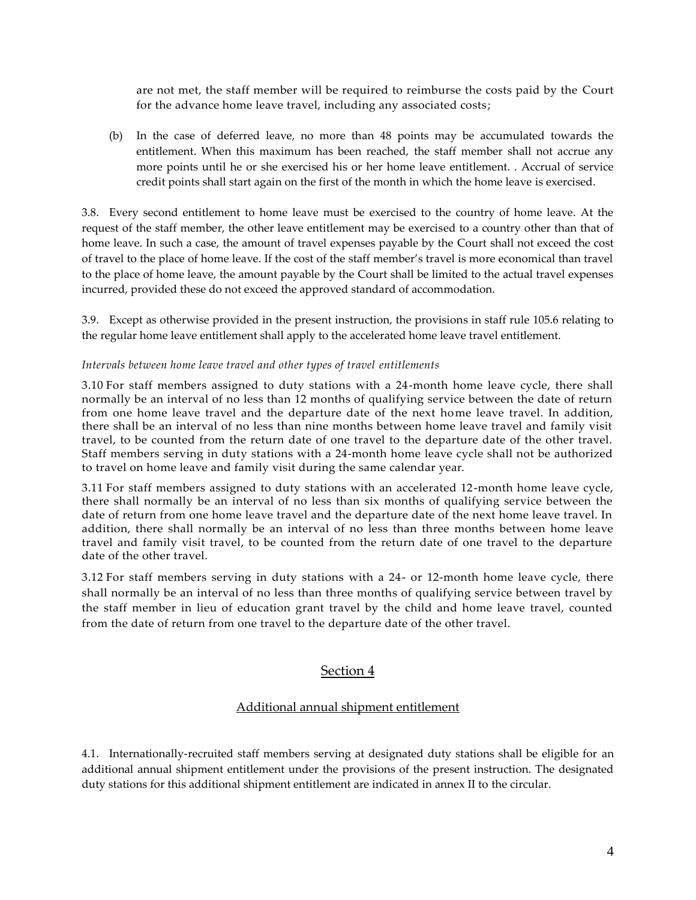are not met, the staff member will be required to reimburse the costs paid by the Court for the advance home leave travel, including any associated costs;

(b) In the case of deferred leave, no more than 48 points may be accumulated towards the entitlement. When this maximum has been reached, the staff member shall not accrue any more points until he or she exercised his or her home leave entitlement. . Accrual of service credit points shall start again on the first of the month in which the home leave is exercised.

3.8. Every second entitlement to home leave must be exercised to the country of home leave. At the request of the staff member, the other leave entitlement may be exercised to a country other than that of home leave. In such a case, the amount of travel expenses payable by the Court shall not exceed the cost of travel to the place of home leave. If the cost of the staff member's travel is more economical than travel to the place of home leave, the amount payable by the Court shall be limited to the actual travel expenses incurred, provided these do not exceed the approved standard of accommodation.

3.9. Except as otherwise provided in the present instruction, the provisions in staff rule [105.6](../../AppData/Local/Microsoft/Pacis/AppData/Local/Microsoft/Windows/AppData/Local/Microsoft/Windows/Temporary%20Internet%20Files/costamatos/AppData/Local/Microsoft/Windows/Temporary%20Internet%20Files/Local%20Settings/laucci/Local%20Settings/04%20STAFF%20RULES--100%20SERIES/sr%20105-%203%20%20%20%20%20%20Home%20leave.doc) relating to the regular home leave entitlement shall apply to the accelerated home leave travel entitlement.

#### *Intervals between home leave travel and other types of travel entitlements*

3.10 For staff members assigned to duty stations with a 24-month home leave cycle, there shall normally be an interval of no less than 12 months of qualifying service between the date of return from one home leave travel and the departure date of the next home leave travel. In addition, there shall be an interval of no less than nine months between home leave travel and family visit travel, to be counted from the return date of one travel to the departure date of the other travel. Staff members serving in duty stations with a 24-month home leave cycle shall not be authorized to travel on home leave and family visit during the same calendar year.

3.11 For staff members assigned to duty stations with an accelerated 12-month home leave cycle, there shall normally be an interval of no less than six months of qualifying service between the date of return from one home leave travel and the departure date of the next home leave travel. In addition, there shall normally be an interval of no less than three months between home leave travel and family visit travel, to be counted from the return date of one travel to the departure date of the other travel.

3.12 For staff members serving in duty stations with a 24- or 12-month home leave cycle, there shall normally be an interval of no less than three months of qualifying service between travel by the staff member in lieu of education grant travel by the child and home leave travel, counted from the date of return from one travel to the departure date of the other travel.

### Section 4

### Additional annual shipment entitlement

4.1. Internationally-recruited staff members serving at designated duty stations shall be eligible for an additional annual shipment entitlement under the provisions of the present instruction. The designated duty stations for this additional shipment entitlement are indicated in annex II to the circular.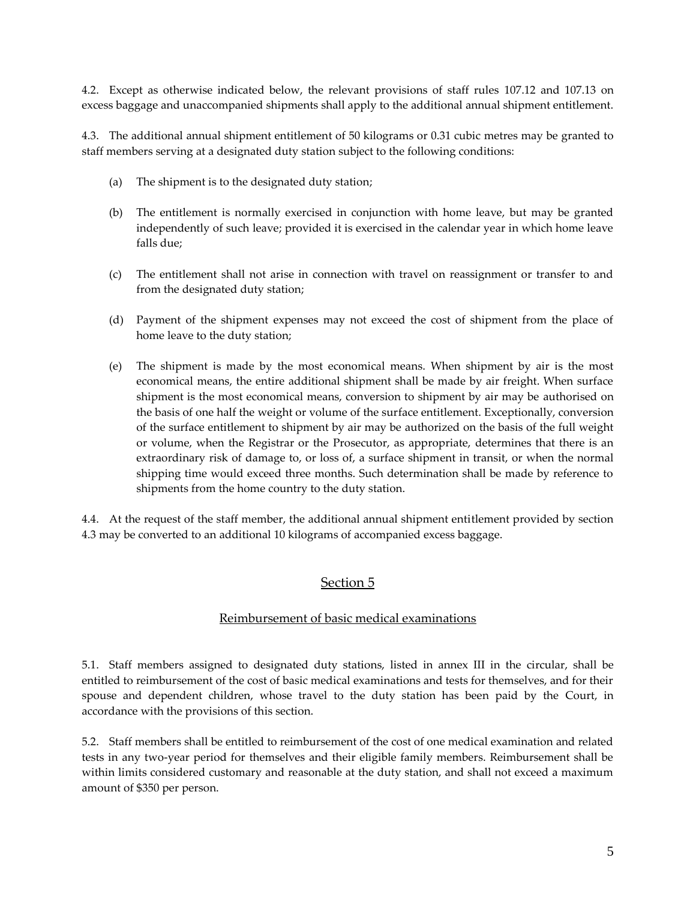4.2. Except as otherwise indicated below, the relevant provisions of staff rules [107.12](../../AppData/Local/Microsoft/Pacis/AppData/Local/Microsoft/Windows/AppData/Local/Microsoft/Windows/Temporary%20Internet%20Files/costamatos/AppData/Local/Microsoft/Windows/Temporary%20Internet%20Files/Local%20Settings/laucci/Local%20Settings/04%20STAFF%20RULES--100%20SERIES/sr%20107-21%20%20%20%20%20%20Excess%20baggage%20and%20unaccompanied%20shipments.doc) and [107.13](../../AppData/Local/Microsoft/Pacis/AppData/Local/Microsoft/Windows/AppData/Local/Microsoft/Windows/Temporary%20Internet%20Files/costamatos/AppData/Local/Microsoft/Windows/Temporary%20Internet%20Files/Local%20Settings/laucci/Local%20Settings/05%20STAFF%20RULES--200%20SERIES/sr%20207-20%20%20%20%20%20%20Excess%20baggage%20and%20unaccompanied%20shipments.doc) on excess baggage and unaccompanied shipments shall apply to the additional annual shipment entitlement.

4.3. The additional annual shipment entitlement of 50 kilograms or 0.31 cubic metres may be granted to staff members serving at a designated duty station subject to the following conditions:

- (a) The shipment is to the designated duty station;
- (b) The entitlement is normally exercised in conjunction with home leave, but may be granted independently of such leave; provided it is exercised in the calendar year in which home leave falls due;
- (c) The entitlement shall not arise in connection with travel on reassignment or transfer to and from the designated duty station;
- (d) Payment of the shipment expenses may not exceed the cost of shipment from the place of home leave to the duty station;
- (e) The shipment is made by the most economical means. When shipment by air is the most economical means, the entire additional shipment shall be made by air freight. When surface shipment is the most economical means, conversion to shipment by air may be authorised on the basis of one half the weight or volume of the surface entitlement. Exceptionally, conversion of the surface entitlement to shipment by air may be authorized on the basis of the full weight or volume, when the Registrar or the Prosecutor, as appropriate, determines that there is an extraordinary risk of damage to, or loss of, a surface shipment in transit, or when the normal shipping time would exceed three months. Such determination shall be made by reference to shipments from the home country to the duty station.

4.4. At the request of the staff member, the additional annual shipment entitlement provided by section 4.3 may be converted to an additional 10 kilograms of accompanied excess baggage.

# Section 5

### Reimbursement of basic medical examinations

5.1. Staff members assigned to designated duty stations, listed in annex III in the circular, shall be entitled to reimbursement of the cost of basic medical examinations and tests for themselves, and for their spouse and dependent children, whose travel to the duty station has been paid by the Court, in accordance with the provisions of this section.

5.2. Staff members shall be entitled to reimbursement of the cost of one medical examination and related tests in any two-year period for themselves and their eligible family members. Reimbursement shall be within limits considered customary and reasonable at the duty station, and shall not exceed a maximum amount of \$350 per person.